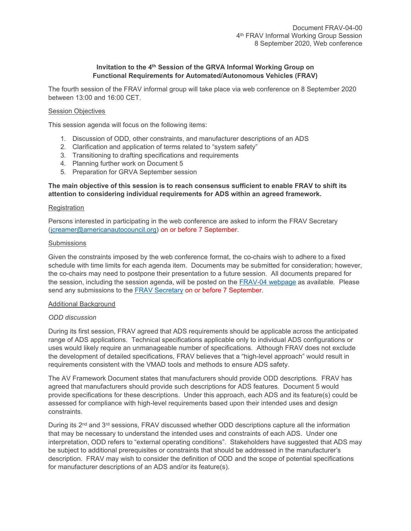# **Invitation to the 4 th Session of the GRVA Informal Working Group on Functional Requirements for Automated/Autonomous Vehicles (FRAV)**

The fourth session of the FRAV informal group will take place via web conference on 8 September 2020 between 13:00 and 16:00 CET.

## Session Objectives

This session agenda will focus on the following items:

- 1. Discussion of ODD, other constraints, and manufacturer descriptions of an ADS
- 2. Clarification and application of terms related to "system safety"
- 3. Transitioning to drafting specifications and requirements
- 4. Planning further work on Document 5
- 5. Preparation for GRVA September session

## **The main objective of this session is to reach consensus sufficient to enable FRAV to shift its attention to considering individual requirements for ADS within an agreed framework.**

#### **Registration**

Persons interested in participating in the web conference are asked to inform the FRAV Secretary [\(jcreamer@americanautocouncil.org\)](file:///D:/G:/2020/FRAV-02/jcreamer@americanautocouncil.org) on or before 7 September.

#### Submissions

Given the constraints imposed by the web conference format, the co-chairs wish to adhere to a fixed schedule with time limits for each agenda item. Documents may be submitted for consideration; however, the co-chairs may need to postpone their presentation to a future session. All documents prepared for the session, including the session agenda, will be posted on the [FRAV-04](https://wiki.unece.org/display/trans/FRAV+4th+Session) webpage as available. Please send any submissions to the [FRAV Secretary](mailto:jcreamer@americanautocouncil.org) on or before 7 September.

## Additional Background

## *ODD discussion*

During its first session, FRAV agreed that ADS requirements should be applicable across the anticipated range of ADS applications. Technical specifications applicable only to individual ADS configurations or uses would likely require an unmanageable number of specifications. Although FRAV does not exclude the development of detailed specifications, FRAV believes that a "high-level approach" would result in requirements consistent with the VMAD tools and methods to ensure ADS safety.

The AV Framework Document states that manufacturers should provide ODD descriptions. FRAV has agreed that manufacturers should provide such descriptions for ADS features. Document 5 would provide specifications for these descriptions. Under this approach, each ADS and its feature(s) could be assessed for compliance with high-level requirements based upon their intended uses and design constraints.

During its  $2<sup>nd</sup>$  and  $3<sup>rd</sup>$  sessions, FRAV discussed whether ODD descriptions capture all the information that may be necessary to understand the intended uses and constraints of each ADS. Under one interpretation, ODD refers to "external operating conditions". Stakeholders have suggested that ADS may be subject to additional prerequisites or constraints that should be addressed in the manufacturer's description. FRAV may wish to consider the definition of ODD and the scope of potential specifications for manufacturer descriptions of an ADS and/or its feature(s).